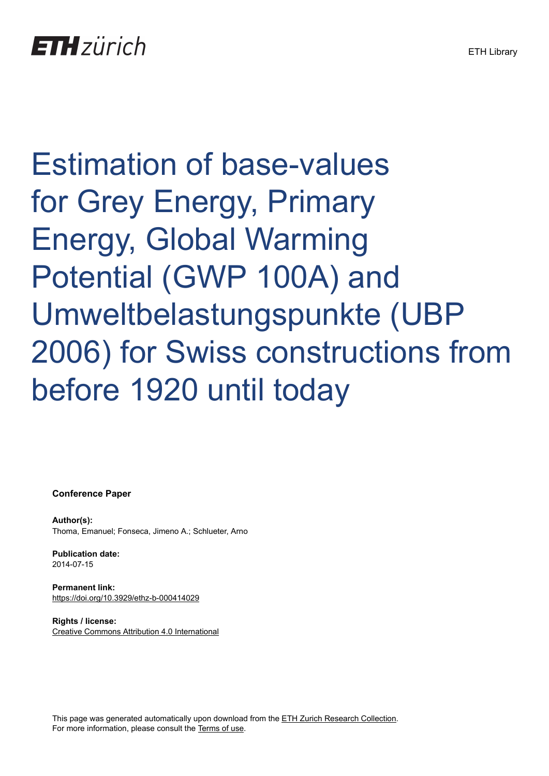Estimation of base-values for Grey Energy, Primary Energy, Global Warming Potential (GWP 100A) and Umweltbelastungspunkte (UBP 2006) for Swiss constructions from before 1920 until today

**Conference Paper**

**Author(s):** Thoma, Emanuel; Fonseca, Jimeno A.; Schlueter, Arno

**Publication date:** 2014-07-15

**Permanent link:** <https://doi.org/10.3929/ethz-b-000414029>

**Rights / license:** [Creative Commons Attribution 4.0 International](http://creativecommons.org/licenses/by/4.0/)

This page was generated automatically upon download from the [ETH Zurich Research Collection.](https://www.research-collection.ethz.ch) For more information, please consult the [Terms of use](https://www.research-collection.ethz.ch/terms-of-use).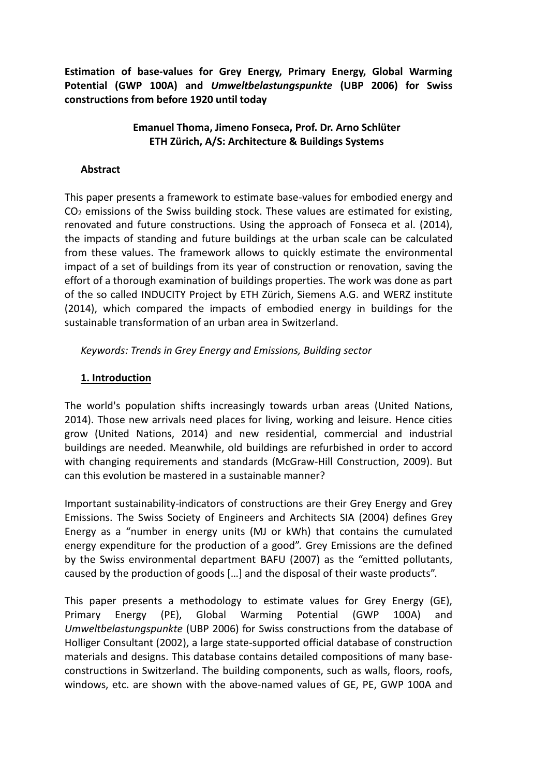**Estimation of base-values for Grey Energy, Primary Energy, Global Warming Potential (GWP 100A) and** *Umweltbelastungspunkte* **(UBP 2006) for Swiss constructions from before 1920 until today**

## **Emanuel Thoma, Jimeno Fonseca, Prof. Dr. Arno Schlüter ETH Zürich, A/S: Architecture & Buildings Systems**

## **Abstract**

This paper presents a framework to estimate base-values for embodied energy and  $CO<sub>2</sub>$  emissions of the Swiss building stock. These values are estimated for existing, renovated and future constructions. Using the approach of Fonseca et al. (2014), the impacts of standing and future buildings at the urban scale can be calculated from these values. The framework allows to quickly estimate the environmental impact of a set of buildings from its year of construction or renovation, saving the effort of a thorough examination of buildings properties. The work was done as part of the so called INDUCITY Project by ETH Zürich, Siemens A.G. and WERZ institute (2014), which compared the impacts of embodied energy in buildings for the sustainable transformation of an urban area in Switzerland.

*Keywords: Trends in Grey Energy and Emissions, Building sector*

## **1. Introduction**

The world's population shifts increasingly towards urban areas (United Nations, 2014). Those new arrivals need places for living, working and leisure. Hence cities grow (United Nations, 2014) and new residential, commercial and industrial buildings are needed. Meanwhile, old buildings are refurbished in order to accord with changing requirements and standards (McGraw-Hill Construction, 2009). But can this evolution be mastered in a sustainable manner?

Important sustainability-indicators of constructions are their Grey Energy and Grey Emissions. The Swiss Society of Engineers and Architects SIA (2004) defines Grey Energy as a "number in energy units (MJ or kWh) that contains the cumulated energy expenditure for the production of a good". Grey Emissions are the defined by the Swiss environmental department BAFU (2007) as the "emitted pollutants, caused by the production of goods […] and the disposal of their waste products".

This paper presents a methodology to estimate values for Grey Energy (GE), Primary Energy (PE), Global Warming Potential (GWP 100A) and *Umweltbelastungspunkte* (UBP 2006) for Swiss constructions from the database of Holliger Consultant (2002), a large state-supported official database of construction materials and designs. This database contains detailed compositions of many baseconstructions in Switzerland. The building components, such as walls, floors, roofs, windows, etc. are shown with the above-named values of GE, PE, GWP 100A and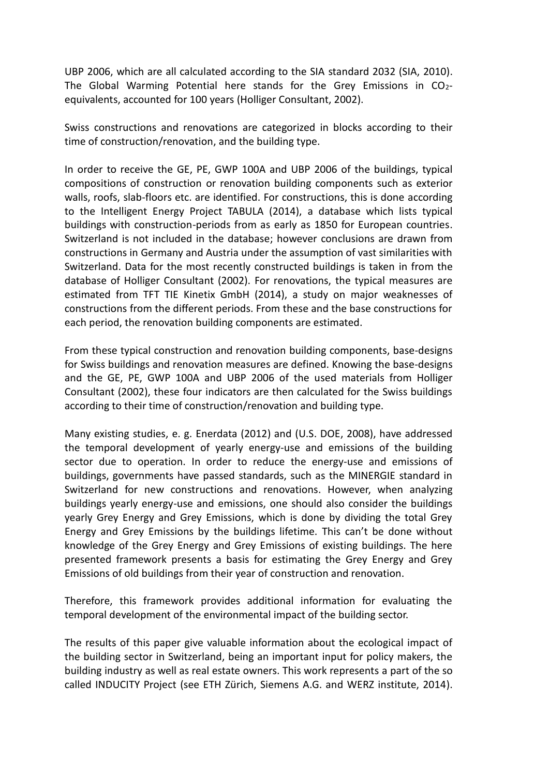UBP 2006, which are all calculated according to the SIA standard 2032 (SIA, 2010). The Global Warming Potential here stands for the Grey Emissions in CO<sub>2</sub>equivalents, accounted for 100 years (Holliger Consultant, 2002).

Swiss constructions and renovations are categorized in blocks according to their time of construction/renovation, and the building type.

In order to receive the GE, PE, GWP 100A and UBP 2006 of the buildings, typical compositions of construction or renovation building components such as exterior walls, roofs, slab-floors etc. are identified. For constructions, this is done according to the Intelligent Energy Project TABULA (2014), a database which lists typical buildings with construction-periods from as early as 1850 for European countries. Switzerland is not included in the database; however conclusions are drawn from constructions in Germany and Austria under the assumption of vast similarities with Switzerland. Data for the most recently constructed buildings is taken in from the database of Holliger Consultant (2002). For renovations, the typical measures are estimated from TFT TIE Kinetix GmbH (2014), a study on major weaknesses of constructions from the different periods. From these and the base constructions for each period, the renovation building components are estimated.

From these typical construction and renovation building components, base-designs for Swiss buildings and renovation measures are defined. Knowing the base-designs and the GE, PE, GWP 100A and UBP 2006 of the used materials from Holliger Consultant (2002), these four indicators are then calculated for the Swiss buildings according to their time of construction/renovation and building type.

Many existing studies, e. g. Enerdata (2012) and (U.S. DOE, 2008), have addressed the temporal development of yearly energy-use and emissions of the building sector due to operation. In order to reduce the energy-use and emissions of buildings, governments have passed standards, such as the MINERGIE standard in Switzerland for new constructions and renovations. However, when analyzing buildings yearly energy-use and emissions, one should also consider the buildings yearly Grey Energy and Grey Emissions, which is done by dividing the total Grey Energy and Grey Emissions by the buildings lifetime. This can't be done without knowledge of the Grey Energy and Grey Emissions of existing buildings. The here presented framework presents a basis for estimating the Grey Energy and Grey Emissions of old buildings from their year of construction and renovation.

Therefore, this framework provides additional information for evaluating the temporal development of the environmental impact of the building sector.

The results of this paper give valuable information about the ecological impact of the building sector in Switzerland, being an important input for policy makers, the building industry as well as real estate owners. This work represents a part of the so called INDUCITY Project (see ETH Zürich, Siemens A.G. and WERZ institute, 2014).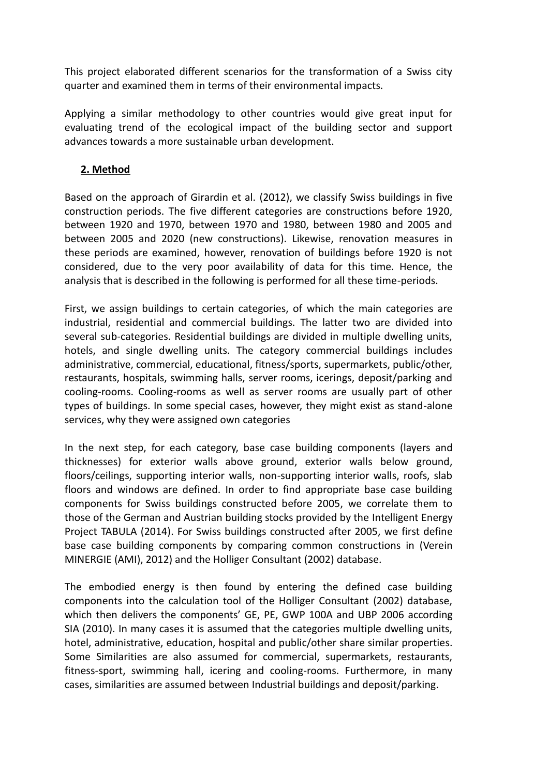This project elaborated different scenarios for the transformation of a Swiss city quarter and examined them in terms of their environmental impacts.

Applying a similar methodology to other countries would give great input for evaluating trend of the ecological impact of the building sector and support advances towards a more sustainable urban development.

# **2. Method**

Based on the approach of Girardin et al. (2012), we classify Swiss buildings in five construction periods. The five different categories are constructions before 1920, between 1920 and 1970, between 1970 and 1980, between 1980 and 2005 and between 2005 and 2020 (new constructions). Likewise, renovation measures in these periods are examined, however, renovation of buildings before 1920 is not considered, due to the very poor availability of data for this time. Hence, the analysis that is described in the following is performed for all these time-periods.

First, we assign buildings to certain categories, of which the main categories are industrial, residential and commercial buildings. The latter two are divided into several sub-categories. Residential buildings are divided in multiple dwelling units, hotels, and single dwelling units. The category commercial buildings includes administrative, commercial, educational, fitness/sports, supermarkets, public/other, restaurants, hospitals, swimming halls, server rooms, icerings, deposit/parking and cooling-rooms. Cooling-rooms as well as server rooms are usually part of other types of buildings. In some special cases, however, they might exist as stand-alone services, why they were assigned own categories

In the next step, for each category, base case building components (layers and thicknesses) for exterior walls above ground, exterior walls below ground, floors/ceilings, supporting interior walls, non-supporting interior walls, roofs, slab floors and windows are defined. In order to find appropriate base case building components for Swiss buildings constructed before 2005, we correlate them to those of the German and Austrian building stocks provided by the Intelligent Energy Project TABULA (2014). For Swiss buildings constructed after 2005, we first define base case building components by comparing common constructions in (Verein MINERGIE (AMI), 2012) and the Holliger Consultant (2002) database.

The embodied energy is then found by entering the defined case building components into the calculation tool of the Holliger Consultant (2002) database, which then delivers the components' GE, PE, GWP 100A and UBP 2006 according SIA (2010). In many cases it is assumed that the categories multiple dwelling units, hotel, administrative, education, hospital and public/other share similar properties. Some Similarities are also assumed for commercial, supermarkets, restaurants, fitness-sport, swimming hall, icering and cooling-rooms. Furthermore, in many cases, similarities are assumed between Industrial buildings and deposit/parking.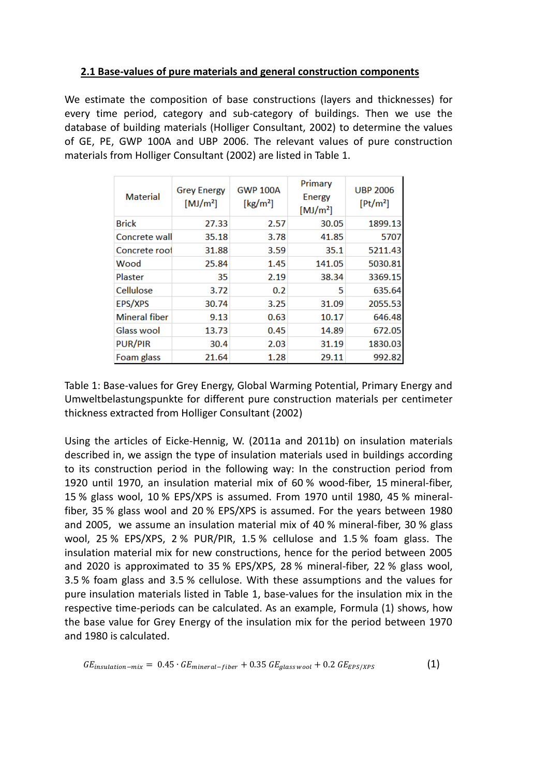## **2.1 Base-values of pure materials and general construction components**

We estimate the composition of base constructions (layers and thicknesses) for every time period, category and sub-category of buildings. Then we use the database of building materials (Holliger Consultant, 2002) to determine the values of GE, PE, GWP 100A and UBP 2006. The relevant values of pure construction materials from Holliger Consultant (2002) are listed in Table 1.

| <b>Material</b>      | <b>Grey Energy</b><br>[MJ/m <sup>2</sup> ] | <b>GWP 100A</b><br>$\left[\mathrm{kg/m^2}\right]$ | Primary<br>Energy<br>[MJ/m <sup>2</sup> ] | <b>UBP 2006</b><br>[Pt/m <sup>2</sup> ] |  |
|----------------------|--------------------------------------------|---------------------------------------------------|-------------------------------------------|-----------------------------------------|--|
| <b>Brick</b>         | 27.33                                      | 2.57                                              | 30.05                                     | 1899.13                                 |  |
| Concrete wall        | 35.18                                      | 3.78                                              | 41.85                                     | 5707                                    |  |
| Concrete roof        | 31.88                                      | 3.59                                              | 35.1                                      | 5211.43                                 |  |
| Wood                 | 25.84                                      | 1.45                                              | 141.05                                    | 5030.81                                 |  |
| Plaster              | 35                                         | 2.19                                              | 38.34                                     | 3369.15                                 |  |
| Cellulose            | 3.72                                       | 0.2                                               | 5                                         | 635.64                                  |  |
| <b>EPS/XPS</b>       | 30.74                                      | 3.25                                              | 31.09                                     | 2055.53                                 |  |
| <b>Mineral fiber</b> | 9.13                                       | 0.63                                              | 10.17                                     | 646.48                                  |  |
| Glass wool           | 13.73                                      | 0.45                                              | 14.89                                     | 672.05                                  |  |
| <b>PUR/PIR</b>       | 30.4                                       | 2.03                                              | 31.19                                     | 1830.03                                 |  |
| Foam glass           | 21.64                                      | 1.28                                              | 29.11                                     | 992.82                                  |  |

Table 1: Base-values for Grey Energy, Global Warming Potential, Primary Energy and Umweltbelastungspunkte for different pure construction materials per centimeter thickness extracted from Holliger Consultant (2002)

Using the articles of Eicke-Hennig, W. (2011a and 2011b) on insulation materials described in, we assign the type of insulation materials used in buildings according to its construction period in the following way: In the construction period from 1920 until 1970, an insulation material mix of 60 % wood-fiber, 15 mineral-fiber, 15 % glass wool, 10 % EPS/XPS is assumed. From 1970 until 1980, 45 % mineralfiber, 35 % glass wool and 20 % EPS/XPS is assumed. For the years between 1980 and 2005, we assume an insulation material mix of 40 % mineral-fiber, 30 % glass wool, 25 % EPS/XPS, 2 % PUR/PIR, 1.5 % cellulose and 1.5 % foam glass. The insulation material mix for new constructions, hence for the period between 2005 and 2020 is approximated to 35 % EPS/XPS, 28 % mineral-fiber, 22 % glass wool, 3.5 % foam glass and 3.5 % cellulose. With these assumptions and the values for pure insulation materials listed in Table 1, base-values for the insulation mix in the respective time-periods can be calculated. As an example, Formula (1) shows, how the base value for Grey Energy of the insulation mix for the period between 1970 and 1980 is calculated.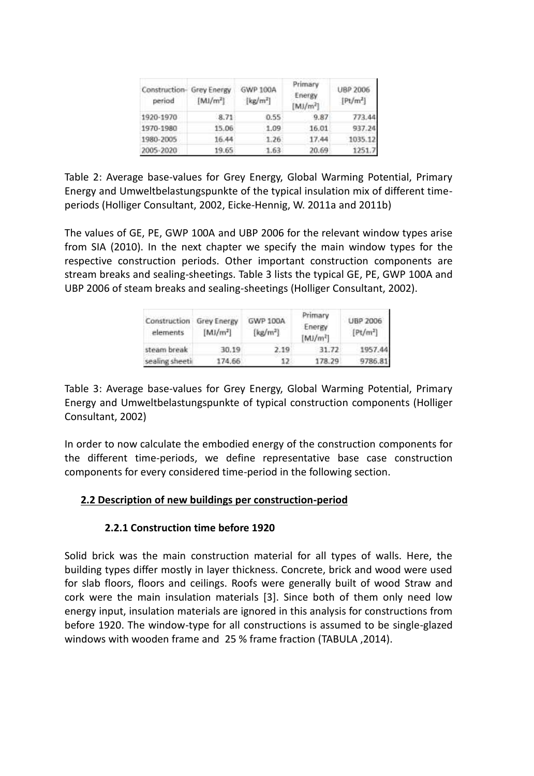| Construction- Grey Energy<br>period | $[M]/m^2$ | GWP 100A<br>[kg/m <sup>2</sup> ] | Primary<br>Energy<br>$[M]/m^2$ | <b>UBP 2006</b><br>[Pt/m <sup>2</sup> ] |  |
|-------------------------------------|-----------|----------------------------------|--------------------------------|-----------------------------------------|--|
| 1920-1970                           | 8.71      | 0.55                             | 9.87                           | 773.44                                  |  |
| 1970-1980                           | 15.06     | 1.09                             | 16.01                          | 937.24                                  |  |
| 1980-2005                           | 16.44     | 1.26                             | 17.44                          | 1035.12                                 |  |
| 2005-2020                           | 19.65     | 1.63                             | 20.69                          | 1251.7                                  |  |

Table 2: Average base-values for Grey Energy, Global Warming Potential, Primary Energy and Umweltbelastungspunkte of the typical insulation mix of different timeperiods (Holliger Consultant, 2002, Eicke-Hennig, W. 2011a and 2011b)

The values of GE, PE, GWP 100A and UBP 2006 for the relevant window types arise from SIA (2010). In the next chapter we specify the main window types for the respective construction periods. Other important construction components are stream breaks and sealing-sheetings. Table 3 lists the typical GE, PE, GWP 100A and UBP 2006 of steam breaks and sealing-sheetings (Holliger Consultant, 2002).

| Construction<br>elements | <b>Grey Energy</b><br>$[M]/m^2]$ | <b>GWP 100A</b><br>$\left[\frac{\text{kg}}{\text{m}^2}\right]$ | Primary<br>Energy<br>[MJ/m <sup>2</sup> ] | <b>UBP 2006</b><br>[Pt/m <sup>2</sup> ] |  |
|--------------------------|----------------------------------|----------------------------------------------------------------|-------------------------------------------|-----------------------------------------|--|
| steam break              | 30.19                            | 2.19                                                           | 31.72                                     | 1957.44                                 |  |
| sealing sheeti           | 174.66                           | 12.                                                            | 178.29                                    | 9786.81                                 |  |

Table 3: Average base-values for Grey Energy, Global Warming Potential, Primary Energy and Umweltbelastungspunkte of typical construction components (Holliger Consultant, 2002)

In order to now calculate the embodied energy of the construction components for the different time-periods, we define representative base case construction components for every considered time-period in the following section.

## **2.2 Description of new buildings per construction-period**

#### **2.2.1 Construction time before 1920**

Solid brick was the main construction material for all types of walls. Here, the building types differ mostly in layer thickness. Concrete, brick and wood were used for slab floors, floors and ceilings. Roofs were generally built of wood Straw and cork were the main insulation materials [3]. Since both of them only need low energy input, insulation materials are ignored in this analysis for constructions from before 1920. The window-type for all constructions is assumed to be single-glazed windows with wooden frame and 25 % frame fraction (TABULA ,2014).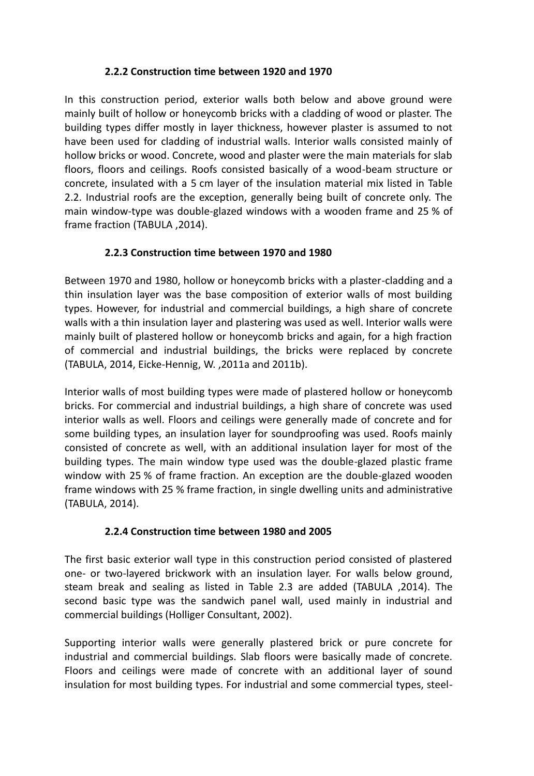## **2.2.2 Construction time between 1920 and 1970**

In this construction period, exterior walls both below and above ground were mainly built of hollow or honeycomb bricks with a cladding of wood or plaster. The building types differ mostly in layer thickness, however plaster is assumed to not have been used for cladding of industrial walls. Interior walls consisted mainly of hollow bricks or wood. Concrete, wood and plaster were the main materials for slab floors, floors and ceilings. Roofs consisted basically of a wood-beam structure or concrete, insulated with a 5 cm layer of the insulation material mix listed in Table 2.2. Industrial roofs are the exception, generally being built of concrete only. The main window-type was double-glazed windows with a wooden frame and 25 % of frame fraction (TABULA ,2014).

## **2.2.3 Construction time between 1970 and 1980**

Between 1970 and 1980, hollow or honeycomb bricks with a plaster-cladding and a thin insulation layer was the base composition of exterior walls of most building types. However, for industrial and commercial buildings, a high share of concrete walls with a thin insulation layer and plastering was used as well. Interior walls were mainly built of plastered hollow or honeycomb bricks and again, for a high fraction of commercial and industrial buildings, the bricks were replaced by concrete (TABULA, 2014, Eicke-Hennig, W. ,2011a and 2011b).

Interior walls of most building types were made of plastered hollow or honeycomb bricks. For commercial and industrial buildings, a high share of concrete was used interior walls as well. Floors and ceilings were generally made of concrete and for some building types, an insulation layer for soundproofing was used. Roofs mainly consisted of concrete as well, with an additional insulation layer for most of the building types. The main window type used was the double-glazed plastic frame window with 25 % of frame fraction. An exception are the double-glazed wooden frame windows with 25 % frame fraction, in single dwelling units and administrative (TABULA, 2014).

#### **2.2.4 Construction time between 1980 and 2005**

The first basic exterior wall type in this construction period consisted of plastered one- or two-layered brickwork with an insulation layer. For walls below ground, steam break and sealing as listed in Table 2.3 are added (TABULA ,2014). The second basic type was the sandwich panel wall, used mainly in industrial and commercial buildings (Holliger Consultant, 2002).

Supporting interior walls were generally plastered brick or pure concrete for industrial and commercial buildings. Slab floors were basically made of concrete. Floors and ceilings were made of concrete with an additional layer of sound insulation for most building types. For industrial and some commercial types, steel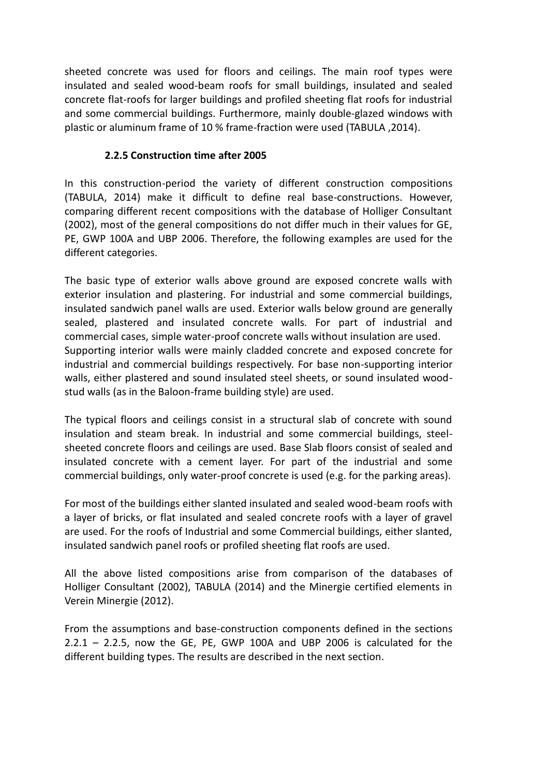sheeted concrete was used for floors and ceilings. The main roof types were insulated and sealed wood-beam roofs for small buildings, insulated and sealed concrete flat-roofs for larger buildings and profiled sheeting flat roofs for industrial and some commercial buildings. Furthermore, mainly double-glazed windows with plastic or aluminum frame of 10 % frame-fraction were used (TABULA ,2014).

## **2.2.5 Construction time after 2005**

In this construction-period the variety of different construction compositions (TABULA, 2014) make it difficult to define real base-constructions. However, comparing different recent compositions with the database of Holliger Consultant (2002), most of the general compositions do not differ much in their values for GE, PE, GWP 100A and UBP 2006. Therefore, the following examples are used for the different categories.

The basic type of exterior walls above ground are exposed concrete walls with exterior insulation and plastering. For industrial and some commercial buildings, insulated sandwich panel walls are used. Exterior walls below ground are generally sealed, plastered and insulated concrete walls. For part of industrial and commercial cases, simple water-proof concrete walls without insulation are used. Supporting interior walls were mainly cladded concrete and exposed concrete for industrial and commercial buildings respectively. For base non-supporting interior walls, either plastered and sound insulated steel sheets, or sound insulated woodstud walls (as in the Baloon-frame building style) are used.

The typical floors and ceilings consist in a structural slab of concrete with sound insulation and steam break. In industrial and some commercial buildings, steelsheeted concrete floors and ceilings are used. Base Slab floors consist of sealed and insulated concrete with a cement layer. For part of the industrial and some commercial buildings, only water-proof concrete is used (e.g. for the parking areas).

For most of the buildings either slanted insulated and sealed wood-beam roofs with a layer of bricks, or flat insulated and sealed concrete roofs with a layer of gravel are used. For the roofs of Industrial and some Commercial buildings, either slanted, insulated sandwich panel roofs or profiled sheeting flat roofs are used.

All the above listed compositions arise from comparison of the databases of Holliger Consultant (2002), TABULA (2014) and the Minergie certified elements in Verein Minergie (2012).

From the assumptions and base-construction components defined in the sections 2.2.1 – 2.2.5, now the GE, PE, GWP 100A and UBP 2006 is calculated for the different building types. The results are described in the next section.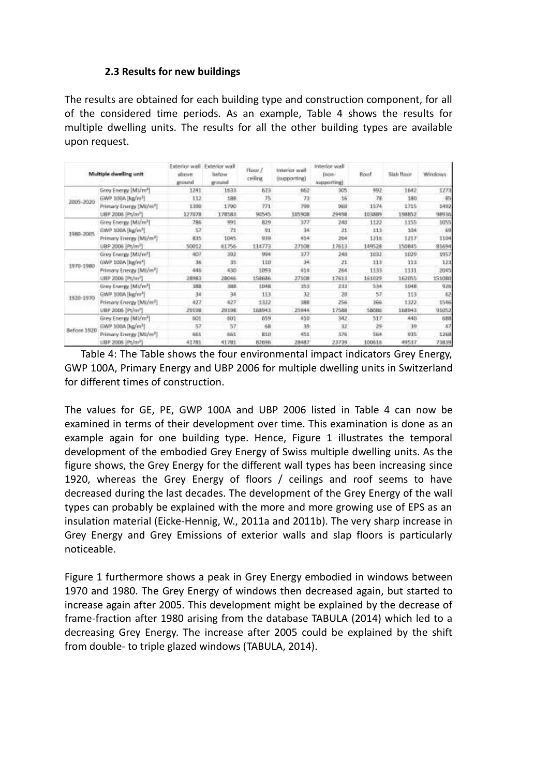#### **2.3 Results for new buildings**

The results are obtained for each building type and construction component, for all of the considered time periods. As an example, Table 4 shows the results for multiple dwelling units. The results for all the other building types are available upon request.

|             | Multiple dwelling unit               | Baw.voivetx3<br>altove<br>ground | Exterior wall<br>befow<br>ground | Floor /<br>celling | Interior wall<br><b><i><u><u><b>OMADO OFFICIAL</b></u></u></i></b> | listerior wall<br><b>Inon-</b><br>supporting) | Root   | 5lab floor | Windows: |
|-------------|--------------------------------------|----------------------------------|----------------------------------|--------------------|--------------------------------------------------------------------|-----------------------------------------------|--------|------------|----------|
|             | Grey Energy [MI/m <sup>3</sup> ]     | 1241                             | 1833                             | 623                | 662                                                                | 305                                           | 992    | 1642       | 1273     |
| 1005-2020   | GWP 100A [kg/m <sup>1</sup> ]        | 112                              | 188                              | 75                 | 73                                                                 | 16                                            | 78     | 180        | -85      |
|             | Primary Energy [MJ/m <sup>2</sup> ]  | 1390                             | 1790                             | 771                | 760                                                                | 960                                           | 1574   | 1715       | 1492     |
|             | UBP 2006 Pt/m <sup>2</sup>           | 127078                           | 178581                           | 90545              | 105908                                                             | 29498                                         | 103889 | 198852     | 98930    |
|             | Grey Energy (MI/m <sup>1</sup> )     | 786                              | 591                              | 829                | 377                                                                | 240                                           | 1122   | 1155       | 1055     |
| 1980-2005   | GWP 100A [kg/m <sup>2</sup> ]        | 57                               | 21                               | 91                 | 34                                                                 | 21                                            | 113    | 104        | 69       |
|             | Primary Energy (MJ/m <sup>2</sup> )  | <b>1135</b>                      | 1045                             | 030                | 414                                                                | 264                                           | 1216   | 1217       | 1104     |
|             | UBP 2006 (Pt/m <sup>3</sup> )        | 50012                            | 61756                            | 114773             | 27108                                                              | 17613                                         | 149528 | 150845     | 81694    |
|             | Grey Energy (MI/m <sup>3</sup> ).    | 407                              | 392                              | 954                | 377                                                                | 240                                           | 1032   | 1029       | 1957     |
|             | GWP 100A [kg/m <sup>2</sup> ]        | 36                               | 35                               | 110                | 34                                                                 | 21                                            | 113    | 111        | 323      |
| 1970-1980   | Primary Energy (Mil/m <sup>2</sup> ) | 446                              | 430                              | 1093               | 南生症                                                                | 264                                           | 1133   | 1131       | 2045     |
|             | UBP 2006 [Pt/m <sup>2</sup> ]        | 28983                            | 28046                            | 158686             | 27108                                                              | 17613                                         | 151029 | 162055     | 151080   |
| 1920-1970   | Grey Energy [Mi/m <sup>3</sup> ]     | 389                              | <b>1108</b>                      | 1048               | 353                                                                | 233                                           | 534    | 1048       | 926      |
|             | GWP 100A [kg/m <sup>1</sup> ]        | 34                               | 34                               | 113                | 32                                                                 | 20                                            | 57     | 113        | 62       |
|             | Primary Energy [MI/m <sup>3</sup> ]  | 427                              | 427                              | 1322               | 388                                                                | 256                                           | 366    | 1322       | 1546     |
|             | UBP 2006 [Pt/m <sup>2</sup> ]        | 29198                            | 20108                            | 168943             | 25944                                                              | 17588                                         | 58086  | 168941     | 91052    |
| Before 1920 | Grey Energy (Mi/m <sup>3</sup> )     | 501                              | -501                             | 659                | 430                                                                | 342                                           | 517    | 440        | 688      |
|             | GWP 100A [kg/m <sup>3</sup> ]        | 57                               | 57                               | 68                 | 39                                                                 | 32                                            | 24     | $-39$      | 47       |
|             | Primary Energy (MI/m <sup>2</sup> )  | n61                              | 561                              | 810                | 451                                                                | 576                                           | 564    | 935        | 1268     |
|             | UBP 2006 (Pt/m <sup>2</sup> )        | 41781                            | 41781                            | 82096              | 28487                                                              | 23739                                         | 100616 | 49537      | 73839    |

Table 4: The Table shows the four environmental impact indicators Grey Energy, GWP 100A, Primary Energy and UBP 2006 for multiple dwelling units in Switzerland for different times of construction.

The values for GE, PE, GWP 100A and UBP 2006 listed in Table 4 can now be examined in terms of their development over time. This examination is done as an example again for one building type. Hence, Figure 1 illustrates the temporal development of the embodied Grey Energy of Swiss multiple dwelling units. As the figure shows, the Grey Energy for the different wall types has been increasing since 1920, whereas the Grey Energy of floors / ceilings and roof seems to have decreased during the last decades. The development of the Grey Energy of the wall types can probably be explained with the more and more growing use of EPS as an insulation material (Eicke-Hennig, W., 2011a and 2011b). The very sharp increase in Grey Energy and Grey Emissions of exterior walls and slap floors is particularly noticeable.

Figure 1 furthermore shows a peak in Grey Energy embodied in windows between 1970 and 1980. The Grey Energy of windows then decreased again, but started to increase again after 2005. This development might be explained by the decrease of frame-fraction after 1980 arising from the database TABULA (2014) which led to a decreasing Grey Energy. The increase after 2005 could be explained by the shift from double- to triple glazed windows (TABULA, 2014).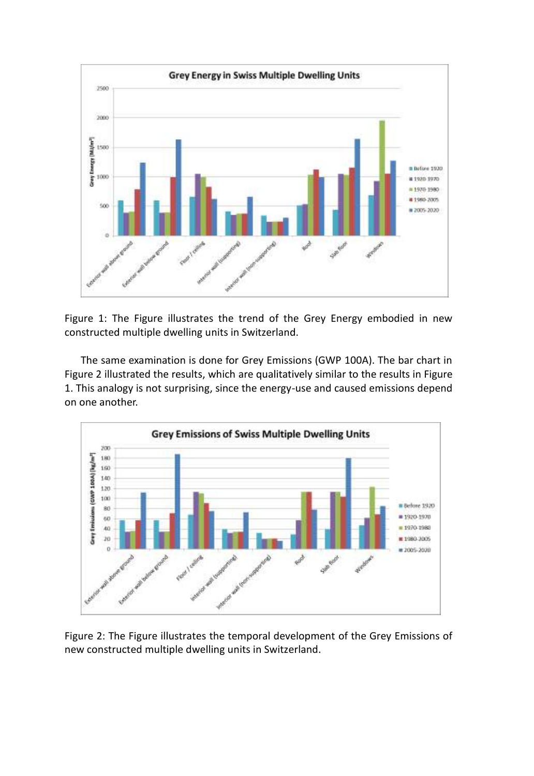

Figure 1: The Figure illustrates the trend of the Grey Energy embodied in new constructed multiple dwelling units in Switzerland.

The same examination is done for Grey Emissions (GWP 100A). The bar chart in Figure 2 illustrated the results, which are qualitatively similar to the results in Figure 1. This analogy is not surprising, since the energy-use and caused emissions depend on one another.



Figure 2: The Figure illustrates the temporal development of the Grey Emissions of new constructed multiple dwelling units in Switzerland.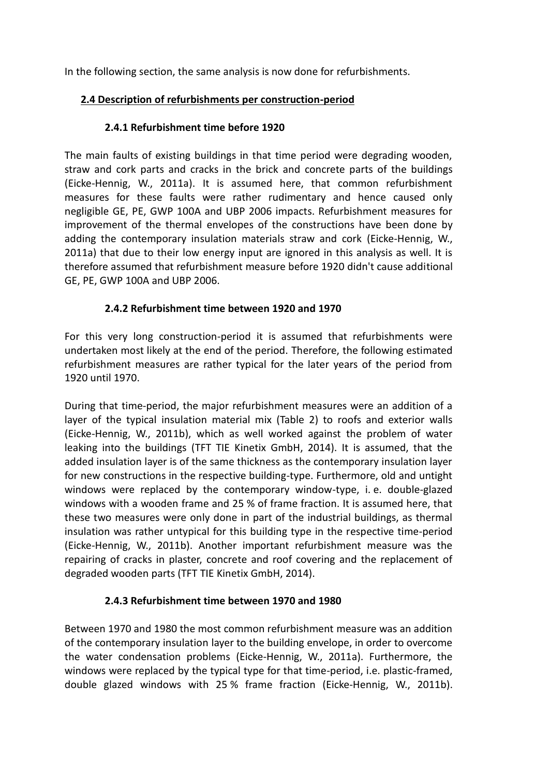In the following section, the same analysis is now done for refurbishments.

# **2.4 Description of refurbishments per construction-period**

# **2.4.1 Refurbishment time before 1920**

The main faults of existing buildings in that time period were degrading wooden, straw and cork parts and cracks in the brick and concrete parts of the buildings (Eicke-Hennig, W., 2011a). It is assumed here, that common refurbishment measures for these faults were rather rudimentary and hence caused only negligible GE, PE, GWP 100A and UBP 2006 impacts. Refurbishment measures for improvement of the thermal envelopes of the constructions have been done by adding the contemporary insulation materials straw and cork (Eicke-Hennig, W., 2011a) that due to their low energy input are ignored in this analysis as well. It is therefore assumed that refurbishment measure before 1920 didn't cause additional GE, PE, GWP 100A and UBP 2006.

# **2.4.2 Refurbishment time between 1920 and 1970**

For this very long construction-period it is assumed that refurbishments were undertaken most likely at the end of the period. Therefore, the following estimated refurbishment measures are rather typical for the later years of the period from 1920 until 1970.

During that time-period, the major refurbishment measures were an addition of a layer of the typical insulation material mix (Table 2) to roofs and exterior walls (Eicke-Hennig, W., 2011b), which as well worked against the problem of water leaking into the buildings (TFT TIE Kinetix GmbH, 2014). It is assumed, that the added insulation layer is of the same thickness as the contemporary insulation layer for new constructions in the respective building-type. Furthermore, old and untight windows were replaced by the contemporary window-type, i. e. double-glazed windows with a wooden frame and 25 % of frame fraction. It is assumed here, that these two measures were only done in part of the industrial buildings, as thermal insulation was rather untypical for this building type in the respective time-period (Eicke-Hennig, W., 2011b). Another important refurbishment measure was the repairing of cracks in plaster, concrete and roof covering and the replacement of degraded wooden parts (TFT TIE Kinetix GmbH, 2014).

# **2.4.3 Refurbishment time between 1970 and 1980**

Between 1970 and 1980 the most common refurbishment measure was an addition of the contemporary insulation layer to the building envelope, in order to overcome the water condensation problems (Eicke-Hennig, W., 2011a). Furthermore, the windows were replaced by the typical type for that time-period, i.e. plastic-framed, double glazed windows with 25 % frame fraction (Eicke-Hennig, W., 2011b).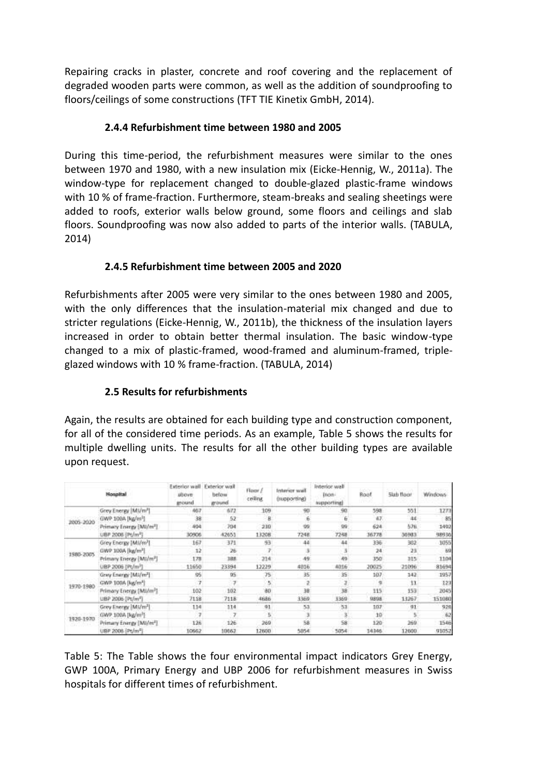Repairing cracks in plaster, concrete and roof covering and the replacement of degraded wooden parts were common, as well as the addition of soundproofing to floors/ceilings of some constructions (TFT TIE Kinetix GmbH, 2014).

# **2.4.4 Refurbishment time between 1980 and 2005**

During this time-period, the refurbishment measures were similar to the ones between 1970 and 1980, with a new insulation mix (Eicke-Hennig, W., 2011a). The window-type for replacement changed to double-glazed plastic-frame windows with 10 % of frame-fraction. Furthermore, steam-breaks and sealing sheetings were added to roofs, exterior walls below ground, some floors and ceilings and slab floors. Soundproofing was now also added to parts of the interior walls. (TABULA, 2014)

# **2.4.5 Refurbishment time between 2005 and 2020**

Refurbishments after 2005 were very similar to the ones between 1980 and 2005, with the only differences that the insulation-material mix changed and due to stricter regulations (Eicke-Hennig, W., 2011b), the thickness of the insulation layers increased in order to obtain better thermal insulation. The basic window-type changed to a mix of plastic-framed, wood-framed and aluminum-framed, tripleglazed windows with 10 % frame-fraction. (TABULA, 2014)

# **2.5 Results for refurbishments**

Again, the results are obtained for each building type and construction component, for all of the considered time periods. As an example, Table 5 shows the results for multiple dwelling units. The results for all the other building types are available upon request.

|           | <b>Noupital</b>                     | Baw.voivette<br>alloye<br><b>around</b> | Exterior wall<br>befow<br>ground. | Floor /<br>ceiling | Interior wall<br>(Hupporting) | livterior wall<br><b>DVDIN</b><br>supporting) | Root  | 5lab floor | Windows |
|-----------|-------------------------------------|-----------------------------------------|-----------------------------------|--------------------|-------------------------------|-----------------------------------------------|-------|------------|---------|
|           | Grey Esergy   Mi/m <sup>3</sup> ]   | 467                                     | 672                               | 109                | 90                            | 90                                            | 598   | 551        | 1273    |
| 2005-2020 | GWP 100A [kg/m <sup>1</sup> ]       | 38                                      | 52                                |                    |                               | G.                                            | 47    | A4         | 85      |
|           | Primary Energy [MU/m <sup>2</sup> ] | 494                                     | 704                               | 230                | 00                            | 99                                            | 624   | 576.       | 1492    |
|           | UBP 2006 (Pt/m <sup>2</sup> )       | 30906                                   | 42653                             | 13208              | 7248                          | 7248                                          | 36778 | 30983      | 98930   |
|           | Grey Energy (MI/m <sup>3</sup> )    | 167                                     | 371                               | 归                  | 44                            | 44                                            | 336   | 302        | 1055    |
| 1980-2005 | GWP 100A [kg/m <sup>2</sup> ]       | 12                                      | 26                                |                    |                               | з<br>$1 - 1$                                  | 24    | 23         | 69      |
|           | Primary Energy (MI/m <sup>2</sup> ) | 178                                     | 388                               | 214                | 49                            | 49                                            | 350   | 315        | 1104    |
|           | UBP 2006 (Pt/m <sup>)</sup> ]       | 11650                                   | 23394                             | 12229              | 4016                          | 4016                                          | 20025 | 21096      | 81694   |
|           | Grey Esergy (Mi/m <sup>3</sup> )    | \$6                                     | DS                                | 75                 | $35 -$                        | 35                                            | 107   | 142.       | 1957    |
| 1970-1980 | GWP 100A (kg/m <sup>2</sup> )       | $\overline{I}$                          | $\rightarrow$                     |                    |                               | з<br>$-11$                                    | ٠     | 11         | 123     |
|           | Primary Energy (MI/m <sup>2</sup> ) | 102                                     | 102                               | 30                 | 38                            | 38                                            | 115   | 153.       | 2045    |
|           | UBP 2005 (Pt/m <sup>m</sup> )       | 7118                                    | 7118                              | 4686               | 3350                          | 3360                                          | 0808  | 13267      | 151060  |
| 1920-1970 | Grey Energy [Mi/m <sup>3</sup> ]    | 114                                     | 114                               | 41                 | 53                            | 53                                            | 107   | 91         | 926     |
|           | GWP 100A (kg/m <sup>1</sup> )       | y                                       |                                   |                    |                               |                                               | 10    |            | 62      |
|           | Primary Energy [MJ/m <sup>2</sup> ] | 126                                     | 126                               | 269                | 58                            | 58                                            | 120   | 260        | 1546    |
|           | UBP 2006 Pt/m <sup>2</sup>          | 10662                                   | 10062                             | 12600              | 5054                          | 5054                                          | 14346 | 12600      | 91052   |

Table 5: The Table shows the four environmental impact indicators Grey Energy, GWP 100A, Primary Energy and UBP 2006 for refurbishment measures in Swiss hospitals for different times of refurbishment.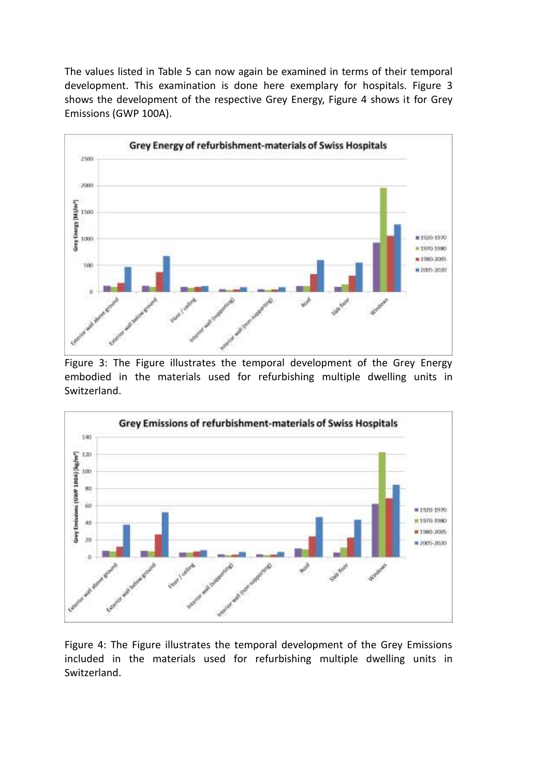The values listed in Table 5 can now again be examined in terms of their temporal development. This examination is done here exemplary for hospitals. Figure 3 shows the development of the respective Grey Energy, Figure 4 shows it for Grey Emissions (GWP 100A).



Figure 3: The Figure illustrates the temporal development of the Grey Energy embodied in the materials used for refurbishing multiple dwelling units in Switzerland.



Figure 4: The Figure illustrates the temporal development of the Grey Emissions included in the materials used for refurbishing multiple dwelling units in Switzerland.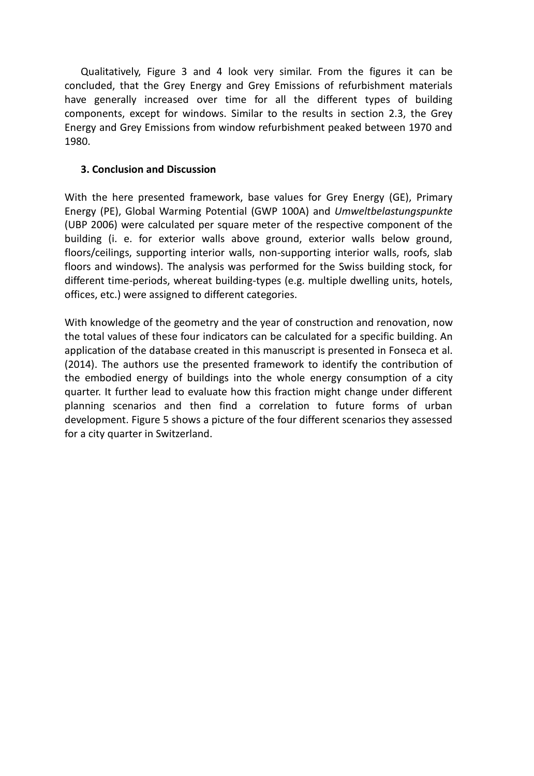Qualitatively, Figure 3 and 4 look very similar. From the figures it can be concluded, that the Grey Energy and Grey Emissions of refurbishment materials have generally increased over time for all the different types of building components, except for windows. Similar to the results in section 2.3, the Grey Energy and Grey Emissions from window refurbishment peaked between 1970 and 1980.

#### **3. Conclusion and Discussion**

With the here presented framework, base values for Grey Energy (GE), Primary Energy (PE), Global Warming Potential (GWP 100A) and *Umweltbelastungspunkte* (UBP 2006) were calculated per square meter of the respective component of the building (i. e. for exterior walls above ground, exterior walls below ground, floors/ceilings, supporting interior walls, non-supporting interior walls, roofs, slab floors and windows). The analysis was performed for the Swiss building stock, for different time-periods, whereat building-types (e.g. multiple dwelling units, hotels, offices, etc.) were assigned to different categories.

With knowledge of the geometry and the year of construction and renovation, now the total values of these four indicators can be calculated for a specific building. An application of the database created in this manuscript is presented in Fonseca et al. (2014). The authors use the presented framework to identify the contribution of the embodied energy of buildings into the whole energy consumption of a city quarter. It further lead to evaluate how this fraction might change under different planning scenarios and then find a correlation to future forms of urban development. Figure 5 shows a picture of the four different scenarios they assessed for a city quarter in Switzerland.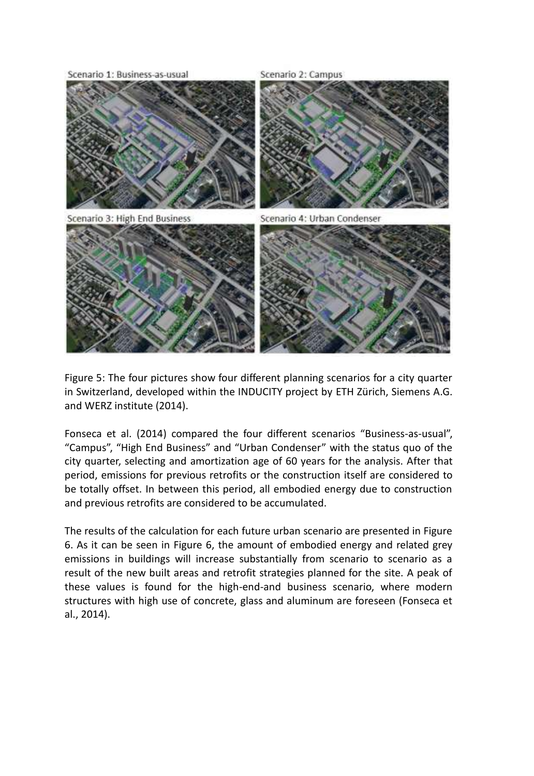

Figure 5: The four pictures show four different planning scenarios for a city quarter in Switzerland, developed within the INDUCITY project by ETH Zürich, Siemens A.G. and WERZ institute (2014).

Fonseca et al. (2014) compared the four different scenarios "Business-as-usual", "Campus", "High End Business" and "Urban Condenser" with the status quo of the city quarter, selecting and amortization age of 60 years for the analysis. After that period, emissions for previous retrofits or the construction itself are considered to be totally offset. In between this period, all embodied energy due to construction and previous retrofits are considered to be accumulated.

The results of the calculation for each future urban scenario are presented in Figure 6. As it can be seen in Figure 6, the amount of embodied energy and related grey emissions in buildings will increase substantially from scenario to scenario as a result of the new built areas and retrofit strategies planned for the site. A peak of these values is found for the high-end-and business scenario, where modern structures with high use of concrete, glass and aluminum are foreseen (Fonseca et al., 2014).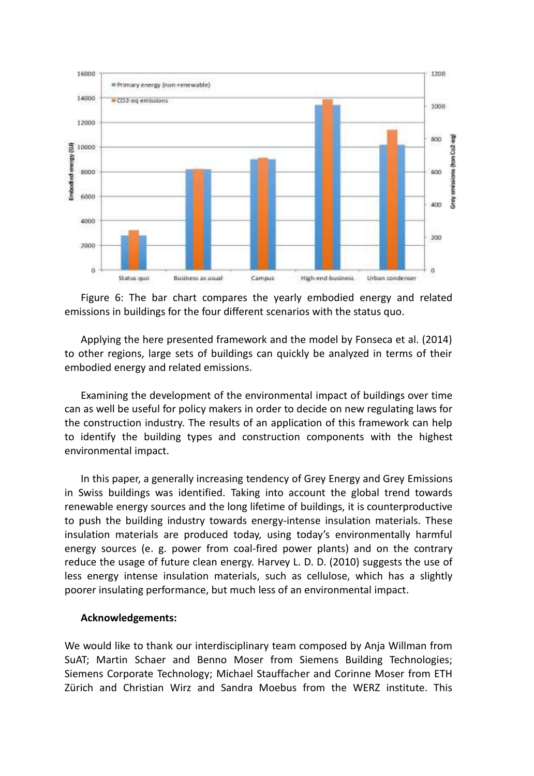

Figure 6: The bar chart compares the yearly embodied energy and related emissions in buildings for the four different scenarios with the status quo.

Applying the here presented framework and the model by Fonseca et al. (2014) to other regions, large sets of buildings can quickly be analyzed in terms of their embodied energy and related emissions.

Examining the development of the environmental impact of buildings over time can as well be useful for policy makers in order to decide on new regulating laws for the construction industry. The results of an application of this framework can help to identify the building types and construction components with the highest environmental impact.

In this paper, a generally increasing tendency of Grey Energy and Grey Emissions in Swiss buildings was identified. Taking into account the global trend towards renewable energy sources and the long lifetime of buildings, it is counterproductive to push the building industry towards energy-intense insulation materials. These insulation materials are produced today, using today's environmentally harmful energy sources (e. g. power from coal-fired power plants) and on the contrary reduce the usage of future clean energy. Harvey L. D. D. (2010) suggests the use of less energy intense insulation materials, such as cellulose, which has a slightly poorer insulating performance, but much less of an environmental impact.

#### **Acknowledgements:**

We would like to thank our interdisciplinary team composed by Anja Willman from SuAT; Martin Schaer and Benno Moser from Siemens Building Technologies; Siemens Corporate Technology; Michael Stauffacher and Corinne Moser from ETH Zürich and Christian Wirz and Sandra Moebus from the WERZ institute. This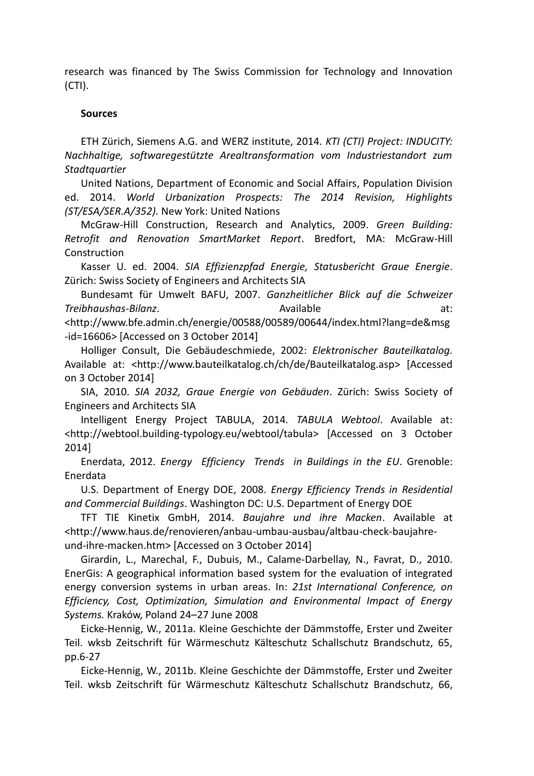research was financed by The Swiss Commission for Technology and Innovation (CTI).

#### **Sources**

ETH Zürich, Siemens A.G. and WERZ institute, 2014. *KTI (CTI) Project: INDUCITY: Nachhaltige, softwaregestützte Arealtransformation vom Industriestandort zum Stadtquartier*

United Nations, Department of Economic and Social Affairs, Population Division ed. 2014. *World Urbanization Prospects: The 2014 Revision, Highlights (ST/ESA/SER.A/352).* New York: United Nations

McGraw-Hill Construction, Research and Analytics, 2009. *Green Building: Retrofit and Renovation SmartMarket Report*. Bredfort, MA: McGraw-Hill Construction

Kasser U. ed. 2004. *SIA Effizienzpfad Energie, Statusbericht Graue Energie*. Zürich: Swiss Society of Engineers and Architects SIA

Bundesamt für Umwelt BAFU, 2007. *Ganzheitlicher Blick auf die Schweizer*  **Treibhaushas-Bilanz.** at: **Available** at: **Available** at: <http://www.bfe.admin.ch/energie/00588/00589/00644/index.html?lang=de&msg -id=16606> [Accessed on 3 October 2014]

Holliger Consult, Die Gebäudeschmiede, 2002: *Elektronischer Bauteilkatalog.* Available at: <http://www.bauteilkatalog.ch/ch/de/Bauteilkatalog.asp> [Accessed on 3 October 2014]

SIA, 2010. *SIA 2032, Graue Energie von Gebäuden*. Zürich: Swiss Society of Engineers and Architects SIA

Intelligent Energy Project TABULA, 2014*. TABULA Webtool*. Available at: <http://webtool.building-typology.eu/webtool/tabula> [Accessed on 3 October 2014]

Enerdata, 2012. *Energy Efficiency Trends in Buildings in the EU*. Grenoble: Enerdata

U.S. Department of Energy DOE, 2008. *Energy Efficiency Trends in Residential and Commercial Buildings*. Washington DC: U.S. Department of Energy DOE

TFT TIE Kinetix GmbH, 2014. *Baujahre und ihre Macken*. Available at <http://www.haus.de/renovieren/anbau-umbau-ausbau/altbau-check-baujahreund-ihre-macken.htm> [Accessed on 3 October 2014]

Girardin, L., Marechal, F., Dubuis, M., Calame-Darbellay, N., Favrat, D., 2010. EnerGis: A geographical information based system for the evaluation of integrated energy conversion systems in urban areas. In: *21st International Conference, on Efficiency, Cost, Optimization, Simulation and Environmental Impact of Energy Systems.* Kraków, Poland 24–27 June 2008

Eicke-Hennig, W., 2011a. Kleine Geschichte der Dämmstoffe, Erster und Zweiter Teil. wksb Zeitschrift für Wärmeschutz Kälteschutz Schallschutz Brandschutz, 65, pp.6-27

Eicke-Hennig, W., 2011b. Kleine Geschichte der Dämmstoffe, Erster und Zweiter Teil. wksb Zeitschrift für Wärmeschutz Kälteschutz Schallschutz Brandschutz, 66,